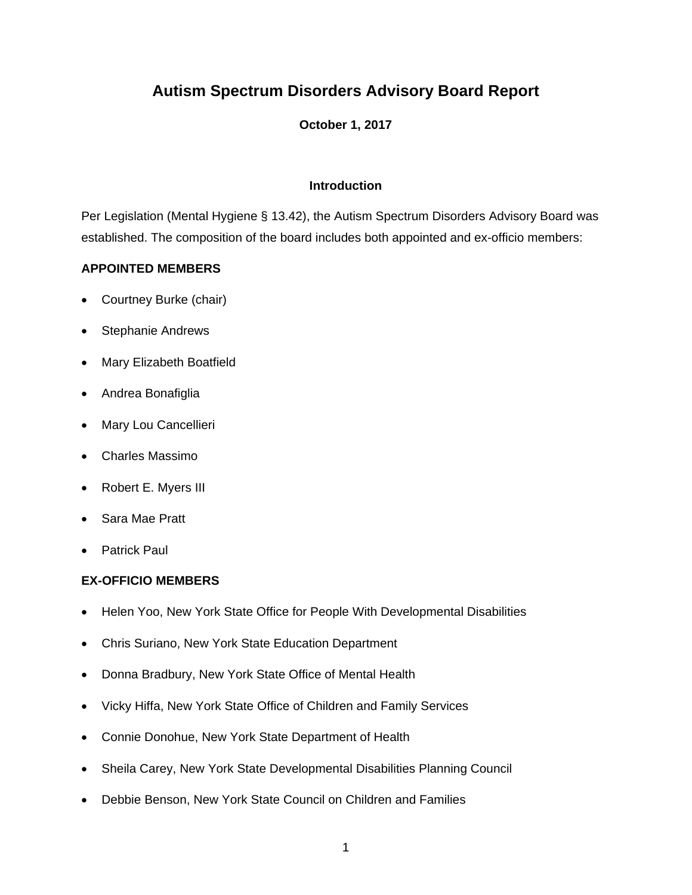# **Autism Spectrum Disorders Advisory Board Report**

## **October 1, 2017**

## **Introduction**

Per Legislation (Mental Hygiene § 13.42), the Autism Spectrum Disorders Advisory Board was established. The composition of the board includes both appointed and ex-officio members:

## **APPOINTED MEMBERS**

- Courtney Burke (chair)
- Stephanie Andrews
- Mary Elizabeth Boatfield
- Andrea Bonafiglia
- Mary Lou Cancellieri
- Charles Massimo
- Robert E. Myers III
- Sara Mae Pratt
- Patrick Paul

## **EX-OFFICIO MEMBERS**

- Helen Yoo, New York State Office for People With Developmental Disabilities
- Chris Suriano, New York State Education Department
- Donna Bradbury, New York State Office of Mental Health
- Vicky Hiffa, New York State Office of Children and Family Services
- Connie Donohue, New York State Department of Health
- Sheila Carey, New York State Developmental Disabilities Planning Council
- Debbie Benson, New York State Council on Children and Families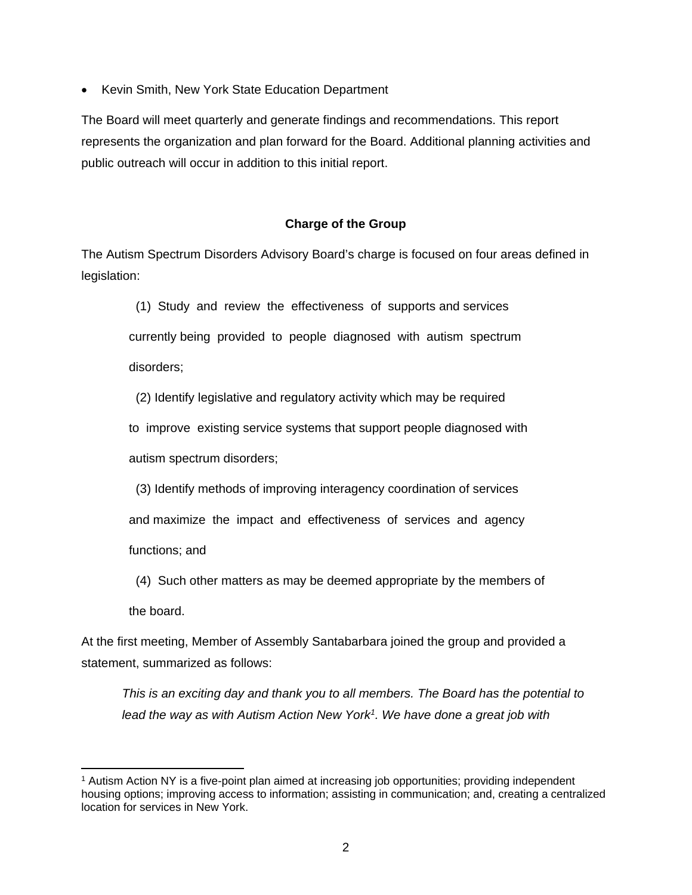• Kevin Smith, New York State Education Department

The Board will meet quarterly and generate findings and recommendations. This report represents the organization and plan forward for the Board. Additional planning activities and public outreach will occur in addition to this initial report.

## **Charge of the Group**

The Autism Spectrum Disorders Advisory Board's charge is focused on four areas defined in legislation:

(1) Study and review the effectiveness of supports and services

currently being provided to people diagnosed with autism spectrum

disorders;

(2) Identify legislative and regulatory activity which may be required

 to improve existing service systems that support people diagnosed with autism spectrum disorders;

(3) Identify methods of improving interagency coordination of services

and maximize the impact and effectiveness of services and agency

functions; and

(4) Such other matters as may be deemed appropriate by the members of

the board.

At the first meeting, Member of Assembly Santabarbara joined the group and provided a statement, summarized as follows:

*This is an exciting day and thank you to all members. The Board has the potential to lead the way as with Autism Action New York1. We have done a great job with* 

 1 Autism Action NY is a five-point plan aimed at increasing job opportunities; providing independent housing options; improving access to information; assisting in communication; and, creating a centralized location for services in New York.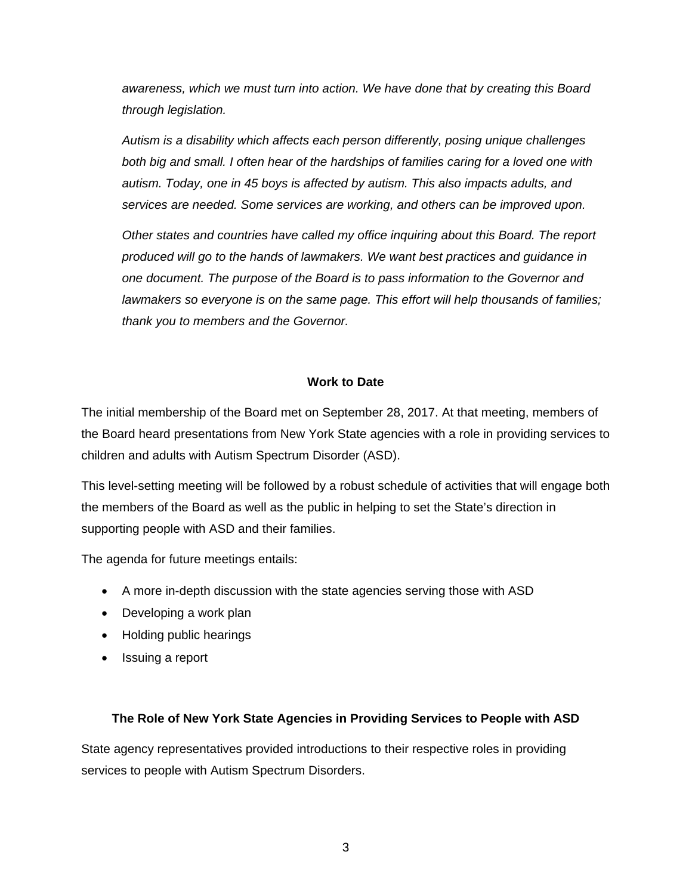*awareness, which we must turn into action. We have done that by creating this Board through legislation.* 

*Autism is a disability which affects each person differently, posing unique challenges both big and small. I often hear of the hardships of families caring for a loved one with autism. Today, one in 45 boys is affected by autism. This also impacts adults, and services are needed. Some services are working, and others can be improved upon.* 

*Other states and countries have called my office inquiring about this Board. The report produced will go to the hands of lawmakers. We want best practices and guidance in one document. The purpose of the Board is to pass information to the Governor and lawmakers so everyone is on the same page. This effort will help thousands of families; thank you to members and the Governor.* 

## **Work to Date**

The initial membership of the Board met on September 28, 2017. At that meeting, members of the Board heard presentations from New York State agencies with a role in providing services to children and adults with Autism Spectrum Disorder (ASD).

This level-setting meeting will be followed by a robust schedule of activities that will engage both the members of the Board as well as the public in helping to set the State's direction in supporting people with ASD and their families.

The agenda for future meetings entails:

- A more in-depth discussion with the state agencies serving those with ASD
- Developing a work plan
- Holding public hearings
- Issuing a report

## **The Role of New York State Agencies in Providing Services to People with ASD**

State agency representatives provided introductions to their respective roles in providing services to people with Autism Spectrum Disorders.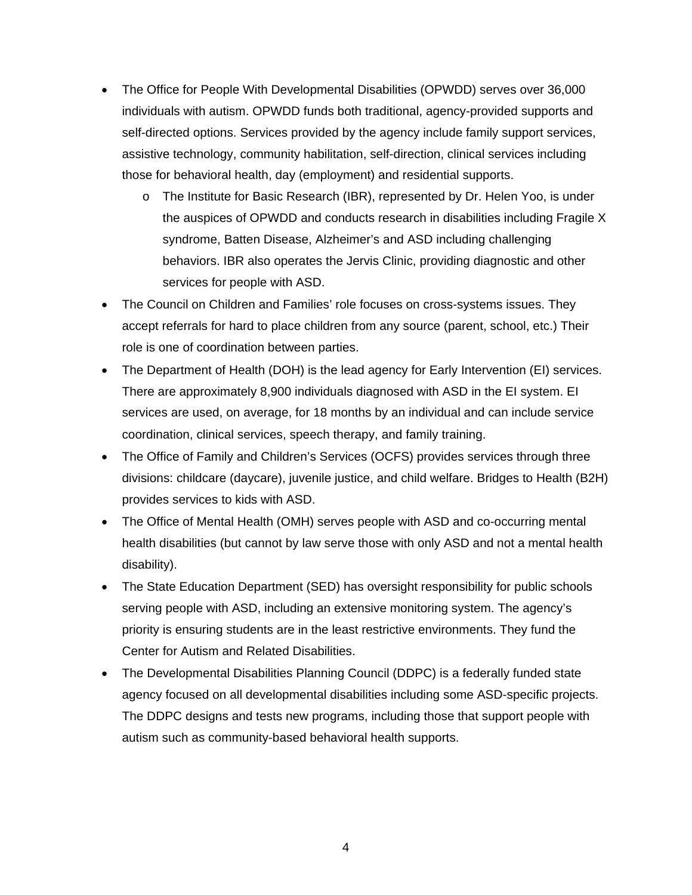- The Office for People With Developmental Disabilities (OPWDD) serves over 36,000 individuals with autism. OPWDD funds both traditional, agency-provided supports and self-directed options. Services provided by the agency include family support services, assistive technology, community habilitation, self-direction, clinical services including those for behavioral health, day (employment) and residential supports.
	- o The Institute for Basic Research (IBR), represented by Dr. Helen Yoo, is under the auspices of OPWDD and conducts research in disabilities including Fragile X syndrome, Batten Disease, Alzheimer's and ASD including challenging behaviors. IBR also operates the Jervis Clinic, providing diagnostic and other services for people with ASD.
- The Council on Children and Families' role focuses on cross-systems issues. They accept referrals for hard to place children from any source (parent, school, etc.) Their role is one of coordination between parties.
- The Department of Health (DOH) is the lead agency for Early Intervention (EI) services. There are approximately 8,900 individuals diagnosed with ASD in the EI system. EI services are used, on average, for 18 months by an individual and can include service coordination, clinical services, speech therapy, and family training.
- The Office of Family and Children's Services (OCFS) provides services through three divisions: childcare (daycare), juvenile justice, and child welfare. Bridges to Health (B2H) provides services to kids with ASD.
- The Office of Mental Health (OMH) serves people with ASD and co-occurring mental health disabilities (but cannot by law serve those with only ASD and not a mental health disability).
- The State Education Department (SED) has oversight responsibility for public schools serving people with ASD, including an extensive monitoring system. The agency's priority is ensuring students are in the least restrictive environments. They fund the Center for Autism and Related Disabilities.
- The Developmental Disabilities Planning Council (DDPC) is a federally funded state agency focused on all developmental disabilities including some ASD-specific projects. The DDPC designs and tests new programs, including those that support people with autism such as community-based behavioral health supports.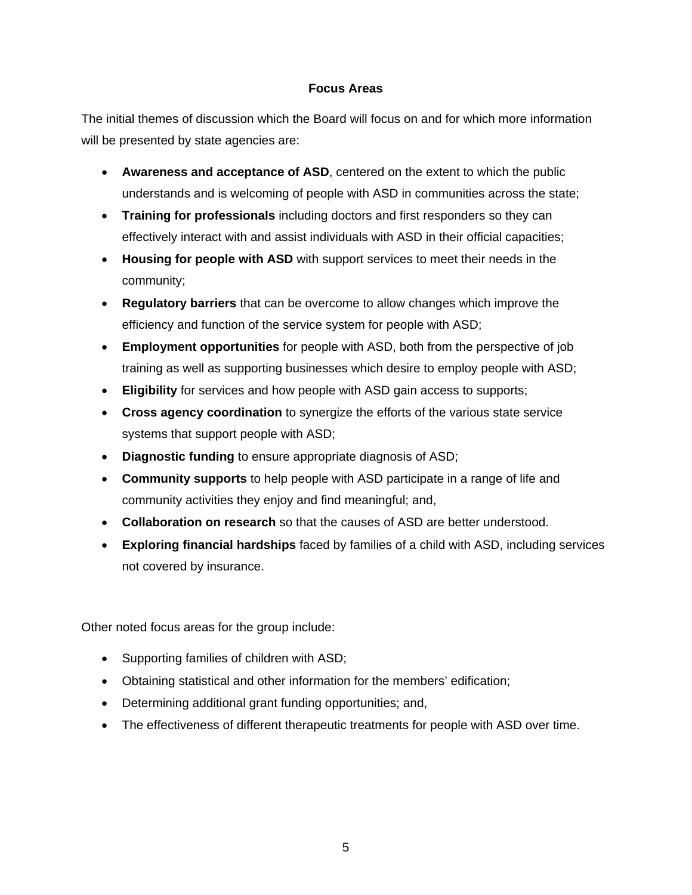## **Focus Areas**

The initial themes of discussion which the Board will focus on and for which more information will be presented by state agencies are:

- **Awareness and acceptance of ASD**, centered on the extent to which the public understands and is welcoming of people with ASD in communities across the state;
- **Training for professionals** including doctors and first responders so they can effectively interact with and assist individuals with ASD in their official capacities;
- **Housing for people with ASD** with support services to meet their needs in the community;
- **Regulatory barriers** that can be overcome to allow changes which improve the efficiency and function of the service system for people with ASD;
- **Employment opportunities** for people with ASD, both from the perspective of job training as well as supporting businesses which desire to employ people with ASD;
- **Eligibility** for services and how people with ASD gain access to supports;
- **Cross agency coordination** to synergize the efforts of the various state service systems that support people with ASD;
- **Diagnostic funding** to ensure appropriate diagnosis of ASD;
- **Community supports** to help people with ASD participate in a range of life and community activities they enjoy and find meaningful; and,
- **Collaboration on research** so that the causes of ASD are better understood.
- **Exploring financial hardships** faced by families of a child with ASD, including services not covered by insurance.

Other noted focus areas for the group include:

- Supporting families of children with ASD;
- Obtaining statistical and other information for the members' edification;
- Determining additional grant funding opportunities; and,
- The effectiveness of different therapeutic treatments for people with ASD over time.